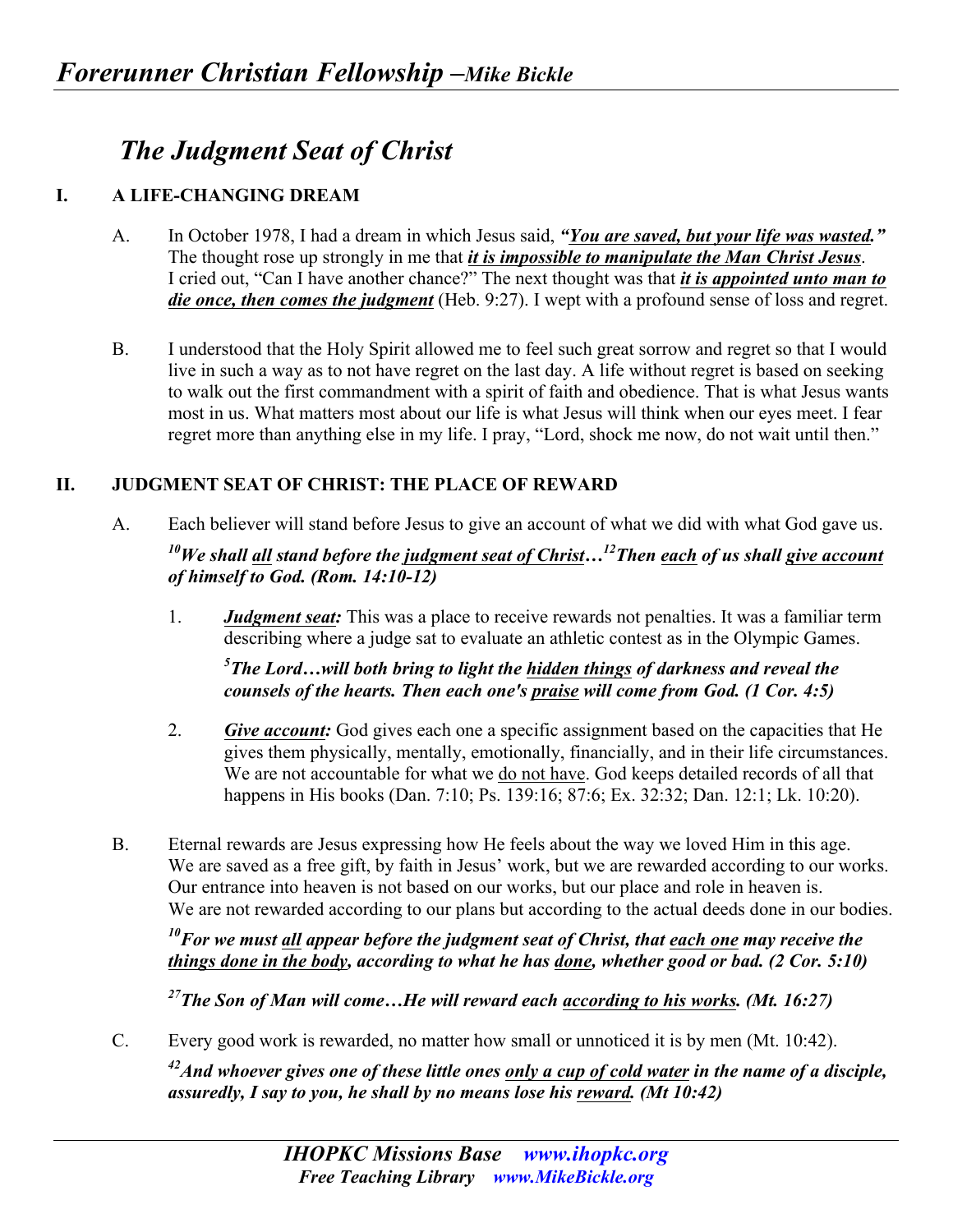## *The Judgment Seat of Christ*

## **I. A LIFE-CHANGING DREAM**

- A. In October 1978, I had a dream in which Jesus said, *"You are saved, but your life was wasted."* The thought rose up strongly in me that *it is impossible to manipulate the Man Christ Jesus*. I cried out, "Can I have another chance?" The next thought was that *it is appointed unto man to die once, then comes the judgment* (Heb. 9:27). I wept with a profound sense of loss and regret.
- B. I understood that the Holy Spirit allowed me to feel such great sorrow and regret so that I would live in such a way as to not have regret on the last day. A life without regret is based on seeking to walk out the first commandment with a spirit of faith and obedience. That is what Jesus wants most in us. What matters most about our life is what Jesus will think when our eyes meet. I fear regret more than anything else in my life. I pray, "Lord, shock me now, do not wait until then."

## **II. JUDGMENT SEAT OF CHRIST: THE PLACE OF REWARD**

A. Each believer will stand before Jesus to give an account of what we did with what God gave us.

## *10We shall all stand before the judgment seat of Christ…12Then each of us shall give account of himself to God. (Rom. 14:10-12)*

1. *Judgment seat:* This was a place to receive rewards not penalties. It was a familiar term describing where a judge sat to evaluate an athletic contest as in the Olympic Games.

*5 The Lord…will both bring to light the hidden things of darkness and reveal the counsels of the hearts. Then each one's praise will come from God. (1 Cor. 4:5)* 

- 2. *Give account:* God gives each one a specific assignment based on the capacities that He gives them physically, mentally, emotionally, financially, and in their life circumstances. We are not accountable for what we do not have. God keeps detailed records of all that happens in His books (Dan. 7:10; Ps. 139:16; 87:6; Ex. 32:32; Dan. 12:1; Lk. 10:20).
- B. Eternal rewards are Jesus expressing how He feels about the way we loved Him in this age. We are saved as a free gift, by faith in Jesus' work, but we are rewarded according to our works. Our entrance into heaven is not based on our works, but our place and role in heaven is. We are not rewarded according to our plans but according to the actual deeds done in our bodies.

*10For we must all appear before the judgment seat of Christ, that each one may receive the things done in the body, according to what he has done, whether good or bad. (2 Cor. 5:10)* 

*27The Son of Man will come…He will reward each according to his works. (Mt. 16:27)* 

C. Every good work is rewarded, no matter how small or unnoticed it is by men (Mt. 10:42).

*42And whoever gives one of these little ones only a cup of cold water in the name of a disciple, assuredly, I say to you, he shall by no means lose his reward. (Mt 10:42)*